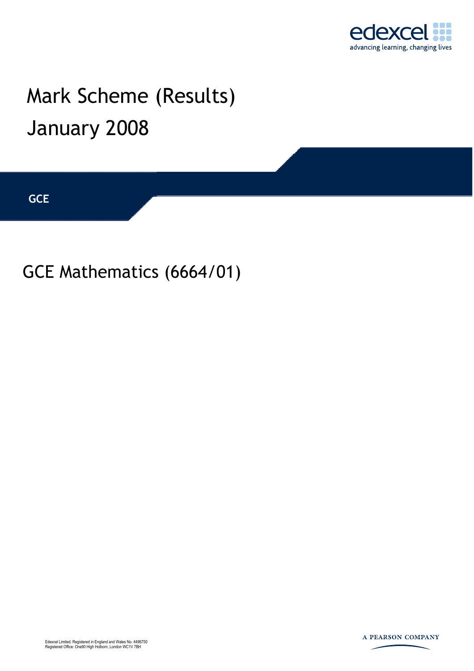

## Mark Scheme (Results) January 2008

**GCE** 

GCE Mathematics (6664/01)

Edexcel Limited. Registered in England and Wales No. 4496750 Registered Office: One90 High Holborn, London WC1V 7BH

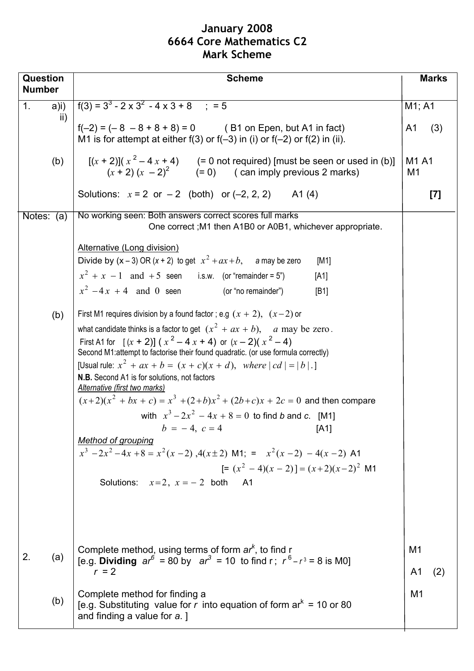## **January 2008 6664 Core Mathematics C2 Mark Scheme**

| <b>Question</b><br><b>Number</b> | <b>Scheme</b>                                                                                                                                                                                                                                                                                                                                                                                                                                                                                                                                                                                                                                                                                                                                                                                                                            | <b>Marks</b>                        |  |  |  |  |
|----------------------------------|------------------------------------------------------------------------------------------------------------------------------------------------------------------------------------------------------------------------------------------------------------------------------------------------------------------------------------------------------------------------------------------------------------------------------------------------------------------------------------------------------------------------------------------------------------------------------------------------------------------------------------------------------------------------------------------------------------------------------------------------------------------------------------------------------------------------------------------|-------------------------------------|--|--|--|--|
| 1 <sub>1</sub>                   | $f(3) = 33 - 2 \times 32 - 4 \times 3 + 8$ : = 5                                                                                                                                                                                                                                                                                                                                                                                                                                                                                                                                                                                                                                                                                                                                                                                         |                                     |  |  |  |  |
| $a)$ i)<br>$\mathsf{ii}$         | $f(-2) = (-8 - 8 + 8 + 8) = 0$ (B1 on Epen, but A1 in fact)<br>M1 is for attempt at either $f(3)$ or $f(-3)$ in (i) or $f(-2)$ or $f(2)$ in (ii).                                                                                                                                                                                                                                                                                                                                                                                                                                                                                                                                                                                                                                                                                        | M1; A1<br>A1<br>(3)                 |  |  |  |  |
| (b)                              | $[(x + 2)](x2 - 4x + 4)$ (= 0 not required) [must be seen or used in (b)]<br>$(x + 2)(x - 2)^2$ $(= 0)$ $(\text{can imply previous 2 marks})$                                                                                                                                                                                                                                                                                                                                                                                                                                                                                                                                                                                                                                                                                            | M <sub>1</sub> A <sub>1</sub><br>M1 |  |  |  |  |
|                                  | Solutions: $x = 2$ or $-2$ (both) or $(-2, 2, 2)$ A1(4)                                                                                                                                                                                                                                                                                                                                                                                                                                                                                                                                                                                                                                                                                                                                                                                  | $[7]$                               |  |  |  |  |
| Notes: $(a)$                     | No working seen: Both answers correct scores full marks<br>One correct; M1 then A1B0 or A0B1, whichever appropriate.                                                                                                                                                                                                                                                                                                                                                                                                                                                                                                                                                                                                                                                                                                                     |                                     |  |  |  |  |
|                                  | Alternative (Long division)<br>Divide by $(x-3)$ OR $(x + 2)$ to get $x^2 + ax + b$ , a may be zero<br>[M1]<br>$x^{2} + x - 1$ and +5 seen i.s.w. (or "remainder = 5")<br>[A1]<br>$x^2 - 4x + 4$ and 0 seen (or "no remainder")<br>[B1]                                                                                                                                                                                                                                                                                                                                                                                                                                                                                                                                                                                                  |                                     |  |  |  |  |
| (b)                              | First M1 requires division by a found factor; e.g $(x + 2)$ , $(x-2)$ or<br>what candidate thinks is a factor to get $(x^2 + ax + b)$ , a may be zero.<br>First A1 for $[(x + 2)] (x2 - 4x + 4)$ or $(x - 2)(x2 - 4)$<br>Second M1:attempt to factorise their found quadratic. (or use formula correctly)<br>[Usual rule: $x^2 + ax + b = (x + c)(x + d)$ , where $ cd  =  b $ .]<br>N.B. Second A1 is for solutions, not factors<br>Alternative (first two marks)<br>$(x+2)(x2 + bx + c) = x3 + (2+b)x2 + (2b+c)x + 2c = 0$ and then compare<br>with $x^3 - 2x^2 - 4x + 8 = 0$ to find b and c. [M1]<br>$b = -4, c = 4$ [A1]<br><b>Method of grouping</b><br>$x^{3}-2x^{2}-4x+8=x^{2}(x-2)$ , $4(x\pm 2)$ M1; = $x^{2}(x-2) - 4(x-2)$ A1<br>$\left[=(x^2-4)(x-2)\right]=(x+2)(x-2)^2$ M1<br>Solutions: $x=2$ , $x=-2$ both<br><b>A1</b> |                                     |  |  |  |  |
| 2.<br>(a)                        | Complete method, using terms of form $ar^{k}$ , to find r<br>[e.g. Dividing $ar^6 = 80$ by $ar^3 = 10$ to find r; $r^6 - r^3 = 8$ is M0]<br>$r = 2$                                                                                                                                                                                                                                                                                                                                                                                                                                                                                                                                                                                                                                                                                      | M <sub>1</sub><br>A1<br>(2)         |  |  |  |  |
| (b)                              | Complete method for finding a<br>[e.g. Substituting value for r into equation of form $ar^{k} = 10$ or 80<br>and finding a value for a. ]                                                                                                                                                                                                                                                                                                                                                                                                                                                                                                                                                                                                                                                                                                | M1                                  |  |  |  |  |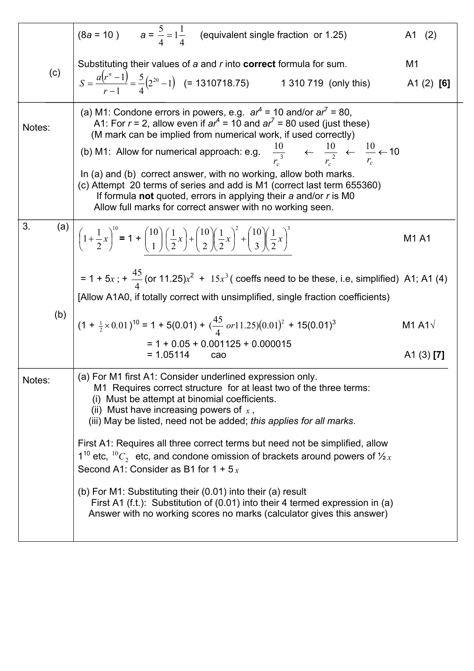|           | (8a = 10) $a = \frac{5}{4} = 1\frac{1}{4}$ (equivalent single fraction or 1.25)                                                                                                                                                                                                                                                                                                                                                                                                                                                                                                                                                                                | A1 (2)                                |  |  |  |  |
|-----------|----------------------------------------------------------------------------------------------------------------------------------------------------------------------------------------------------------------------------------------------------------------------------------------------------------------------------------------------------------------------------------------------------------------------------------------------------------------------------------------------------------------------------------------------------------------------------------------------------------------------------------------------------------------|---------------------------------------|--|--|--|--|
| (c)       | Substituting their values of a and r into <b>correct</b> formula for sum.<br>$S = \frac{a(r^n - 1)}{r - 1} = \frac{5}{4}(2^{20} - 1)$ (= 1310718.75) 1 310 719 (only this)                                                                                                                                                                                                                                                                                                                                                                                                                                                                                     | M1<br>A1 $(2)$ [6]                    |  |  |  |  |
| Notes:    | (a) M1: Condone errors in powers, e.g. $ar^4 = 10$ and/or $ar^7 = 80$ ,<br>A1: For $r = 2$ , allow even if $ar^4 = 10$ and $ar^7 = 80$ used (just these)<br>(M mark can be implied from numerical work, if used correctly)<br>(b) M1: Allow for numerical approach: e.g. $\frac{10}{r_c^3}$ $\leftarrow$ $\frac{10}{r_c^2}$ $\leftarrow$ $\frac{10}{r_c}$ $\leftarrow$ 10<br>In (a) and (b) correct answer, with no working, allow both marks.<br>(c) Attempt 20 terms of series and add is M1 (correct last term 655360)<br>If formula not quoted, errors in applying their $a$ and/or $r$ is MO<br>Allow full marks for correct answer with no working seen. |                                       |  |  |  |  |
| 3.<br>(a) | $\left[ \left(1+\frac{1}{2}x\right)^{10} = 1 + \binom{10}{1} \left(\frac{1}{2}x\right) + \binom{10}{2} \left(\frac{1}{2}x\right)^2 + \binom{10}{3} \left(\frac{1}{2}x\right)^3 \right]$<br>= 1 + 5x; + $\frac{45}{4}$ (or 11.25) $x^2$ + 15x <sup>3</sup> (coeffs need to be these, i.e, simplified) A1; A1 (4)                                                                                                                                                                                                                                                                                                                                                | M1 A1                                 |  |  |  |  |
|           | [Allow A1A0, if totally correct with unsimplified, single fraction coefficients)                                                                                                                                                                                                                                                                                                                                                                                                                                                                                                                                                                               |                                       |  |  |  |  |
| (b)       | $(1 + \frac{1}{2} \times 0.01)^{10} = 1 + 5(0.01) + (\frac{45}{4} or 11.25)(0.01)^{2} + 15(0.01)^{3}$                                                                                                                                                                                                                                                                                                                                                                                                                                                                                                                                                          | M <sub>1</sub> A <sub>1</sub> $\sqrt$ |  |  |  |  |
|           | $= 1 + 0.05 + 0.001125 + 0.000015$<br>$= 1.05114$<br>cao                                                                                                                                                                                                                                                                                                                                                                                                                                                                                                                                                                                                       | $A1(3)$ [7]                           |  |  |  |  |
| Notes:    | (a) For M1 first A1: Consider underlined expression only.<br>M1 Requires correct structure for at least two of the three terms:<br>(i) Must be attempt at binomial coefficients.<br>(ii) Must have increasing powers of $x$ ,<br>(iii) May be listed, need not be added; this applies for all marks.                                                                                                                                                                                                                                                                                                                                                           |                                       |  |  |  |  |
|           | First A1: Requires all three correct terms but need not be simplified, allow<br>$1^{10}$ etc, $1^{10}C_2$ etc, and condone omission of brackets around powers of $\frac{1}{2}x$<br>Second A1: Consider as B1 for $1 + 5x$                                                                                                                                                                                                                                                                                                                                                                                                                                      |                                       |  |  |  |  |
|           | (b) For M1: Substituting their (0.01) into their (a) result<br>First A1 (f.t.): Substitution of (0.01) into their 4 termed expression in (a)<br>Answer with no working scores no marks (calculator gives this answer)                                                                                                                                                                                                                                                                                                                                                                                                                                          |                                       |  |  |  |  |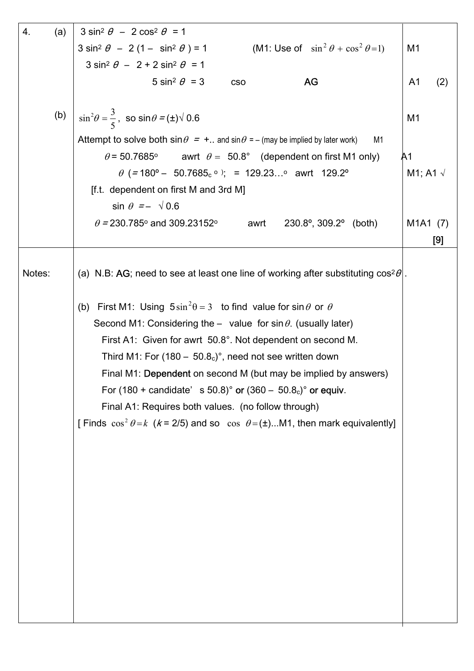| (a)<br>4. | $3 \sin^2 \theta - 2 \cos^2 \theta = 1$                                                                        |                                   |
|-----------|----------------------------------------------------------------------------------------------------------------|-----------------------------------|
|           | $3 \sin^2 \theta - 2 (1 - \sin^2 \theta) = 1$ (M1: Use of $\sin^2 \theta + \cos^2 \theta = 1$ )                | M <sub>1</sub>                    |
|           | $3 \sin^2 \theta - 2 + 2 \sin^2 \theta = 1$                                                                    |                                   |
|           | 5 sin <sup>2</sup> $\theta$ = 3<br>AG<br><b>CSO</b>                                                            | A <sub>1</sub><br>(2)             |
|           |                                                                                                                |                                   |
| (b)       | $\sin^2\theta = \frac{3}{5}$ , so $\sin\theta = (\pm)\sqrt{0.6}$                                               | M1                                |
|           | Attempt to solve both $\sin \theta = +$ and $\sin \theta = -$ (may be implied by later work)<br>M <sub>1</sub> |                                   |
|           | $\theta$ = 50.7685 $^{\circ}$<br>awrt $\theta = 50.8^{\circ}$ (dependent on first M1 only)                     | A1                                |
|           | $\theta$ (=180° – 50.7685 <sub>c</sub> °); = 129.23° awrt 129.2°                                               | M1; A1 $\sqrt$                    |
|           | [f.t. dependent on first M and 3rd M]                                                                          |                                   |
|           | $\sin \theta = - \sqrt{0.6}$                                                                                   |                                   |
|           | $\theta$ = 230.785° and 309.23152°<br>$230.8^{\circ}$ , $309.2^{\circ}$ (both)<br>awrt                         | M <sub>1</sub> A <sub>1</sub> (7) |
|           |                                                                                                                | [9]                               |
|           |                                                                                                                |                                   |
| Notes:    | (a) N.B: AG; need to see at least one line of working after substituting $\cos^2\theta$ .                      |                                   |
|           |                                                                                                                |                                   |
|           | (b) First M1: Using $5\sin^2\theta = 3$ to find value for $\sin\theta$ or $\theta$                             |                                   |
|           | Second M1: Considering the - value for $\sin \theta$ . (usually later)                                         |                                   |
|           | First A1: Given for awrt 50.8°. Not dependent on second M.                                                     |                                   |
|           | Third M1: For $(180 - 50.8c)$ °, need not see written down                                                     |                                   |
|           | Final M1: Dependent on second M (but may be implied by answers)                                                |                                   |
|           | For $(180 + \text{candidate'} \cdot s \cdot 50.8)^\circ$ or $(360 - 50.8_c)^\circ$ or equiv.                   |                                   |
|           | Final A1: Requires both values. (no follow through)                                                            |                                   |
|           | [Finds $\cos^2 \theta = k$ (k = 2/5) and so $\cos \theta = (\pm)$ M1, then mark equivalently]                  |                                   |
|           |                                                                                                                |                                   |
|           |                                                                                                                |                                   |
|           |                                                                                                                |                                   |
|           |                                                                                                                |                                   |
|           |                                                                                                                |                                   |
|           |                                                                                                                |                                   |
|           |                                                                                                                |                                   |
|           |                                                                                                                |                                   |
|           |                                                                                                                |                                   |
|           |                                                                                                                |                                   |
|           |                                                                                                                |                                   |
|           |                                                                                                                |                                   |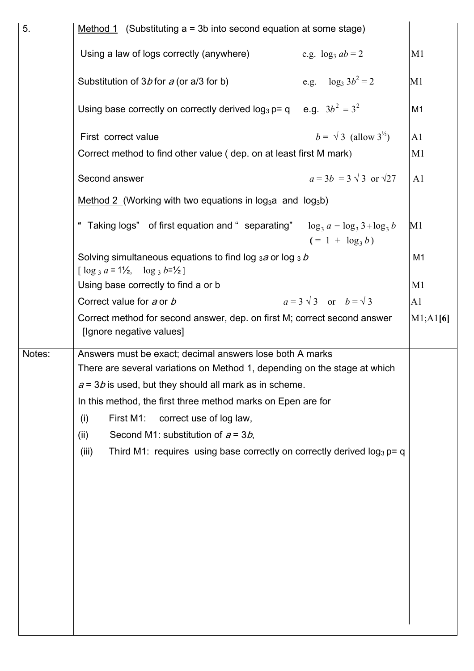| 5.     | Method 1 (Substituting $a = 3b$ into second equation at some stage)                                                         |                |  |  |  |  |
|--------|-----------------------------------------------------------------------------------------------------------------------------|----------------|--|--|--|--|
|        | Using a law of logs correctly (anywhere)<br>e.g. $\log_3 ab = 2$                                                            | M <sub>1</sub> |  |  |  |  |
|        | e.g. $\log_3 3b^2 = 2$<br>Substitution of $3b$ for a (or a/3 for b)                                                         | M1             |  |  |  |  |
|        | Using base correctly on correctly derived $log_3 p = q$ e.g. $3b^2 = 3^2$                                                   | M1             |  |  |  |  |
|        | $b = \sqrt{3}$ (allow 3 <sup>1/2</sup> )<br>First correct value                                                             | A1             |  |  |  |  |
|        | Correct method to find other value (dep. on at least first M mark)                                                          | M1             |  |  |  |  |
|        | $a = 3b = 3 \sqrt{3}$ or $\sqrt{27}$<br>Second answer                                                                       | A1             |  |  |  |  |
|        | Method 2 (Working with two equations in log <sub>3</sub> a and log <sub>3</sub> b)                                          |                |  |  |  |  |
|        | Taking logs" of first equation and "separating" $\log_3 a = \log_3 3 + \log_3 b$<br>$(= 1 + \log_3 b)$                      | M1             |  |  |  |  |
|        | Solving simultaneous equations to find $\log_3 a$ or $\log_3 b$<br>[ $\log_3 a = 1\frac{1}{2}$ , $\log_3 b = \frac{1}{2}$ ] | M <sub>1</sub> |  |  |  |  |
|        | Using base correctly to find a or b                                                                                         | M1             |  |  |  |  |
|        | $a=3\sqrt{3}$ or $b=\sqrt{3}$<br>Correct value for a or b                                                                   | A1             |  |  |  |  |
|        | Correct method for second answer, dep. on first M; correct second answer<br>[Ignore negative values]                        | M1;A1[6]       |  |  |  |  |
| Notes: | Answers must be exact; decimal answers lose both A marks                                                                    |                |  |  |  |  |
|        | There are several variations on Method 1, depending on the stage at which                                                   |                |  |  |  |  |
|        | $a = 3b$ is used, but they should all mark as in scheme.                                                                    |                |  |  |  |  |
|        | In this method, the first three method marks on Epen are for                                                                |                |  |  |  |  |
|        | First M1:<br>correct use of log law,<br>(i)                                                                                 |                |  |  |  |  |
|        | Second M1: substitution of $a = 3b$ ,<br>(ii)                                                                               |                |  |  |  |  |
|        | Third M1: requires using base correctly on correctly derived $log_3 p = q$<br>(iii)                                         |                |  |  |  |  |
|        |                                                                                                                             |                |  |  |  |  |
|        |                                                                                                                             |                |  |  |  |  |
|        |                                                                                                                             |                |  |  |  |  |
|        |                                                                                                                             |                |  |  |  |  |
|        |                                                                                                                             |                |  |  |  |  |
|        |                                                                                                                             |                |  |  |  |  |
|        |                                                                                                                             |                |  |  |  |  |
|        |                                                                                                                             |                |  |  |  |  |
|        |                                                                                                                             |                |  |  |  |  |
|        |                                                                                                                             |                |  |  |  |  |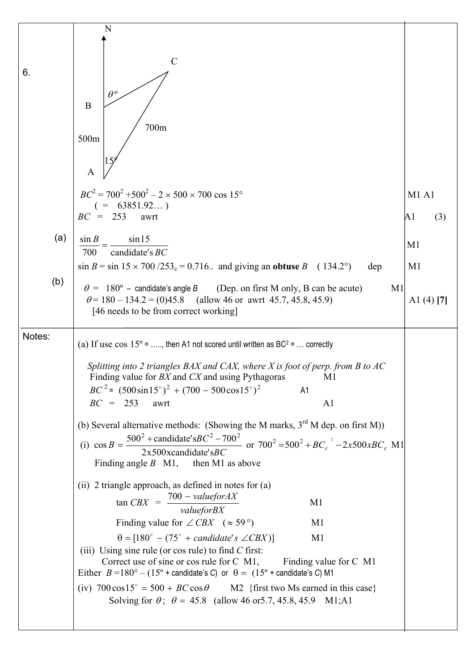|        | N                                                                                                                                                                                    |                |
|--------|--------------------------------------------------------------------------------------------------------------------------------------------------------------------------------------|----------------|
|        |                                                                                                                                                                                      |                |
| 6.     | $\mathcal{C}$                                                                                                                                                                        |                |
|        |                                                                                                                                                                                      |                |
|        | $\theta^{\mathfrak{0}}$<br>B                                                                                                                                                         |                |
|        |                                                                                                                                                                                      |                |
|        | 700m<br>500m                                                                                                                                                                         |                |
|        |                                                                                                                                                                                      |                |
|        | A                                                                                                                                                                                    |                |
|        | $BC^2 = 700^2 + 500^2 - 2 \times 500 \times 700 \cos 15^{\circ}$                                                                                                                     | <b>M1 A1</b>   |
|        | $( = 63851.92 )$<br>$BC = 253$<br>awrt                                                                                                                                               | A1<br>(3)      |
|        |                                                                                                                                                                                      |                |
| (a)    | $\sin B$<br>$\sin 15$<br>candidate's BC                                                                                                                                              | M <sub>1</sub> |
|        | 700<br>$\sin B = \sin 15 \times 700 / 253_c = 0.716$ and giving an obtuse B (134.2°)<br>dep                                                                                          | M <sub>1</sub> |
| (b)    |                                                                                                                                                                                      |                |
|        | $\theta = 180^{\circ}$ – candidate's angle B (Dep. on first M only, B can be acute)<br>M1<br>$\theta$ = 180 – 134.2 = (0)45.8 (allow 46 or awrt 45.7, 45.8, 45.9)                    | A1 $(4)$ $[7]$ |
|        | [46 needs to be from correct working]                                                                                                                                                |                |
| Notes: |                                                                                                                                                                                      |                |
|        | (a) If use $\cos 15^\circ$ = , then A1 not scored until written as BC <sup>2</sup> =  correctly                                                                                      |                |
|        | Splitting into 2 triangles BAX and CAX, where $X$ is foot of perp. from $B$ to $AC$                                                                                                  |                |
|        | Finding value for BX and CX and using Pythagoras<br>M1                                                                                                                               |                |
|        | $BC^{2}$ = $(500\sin 15^{\circ})^{2} + (700 - 500\cos 15^{\circ})^{2}$<br>A1<br>$BC = 253$<br>awrt<br>A <sub>1</sub>                                                                 |                |
|        |                                                                                                                                                                                      |                |
|        | (b) Several alternative methods: (Showing the M marks, $3rd$ M dep. on first M))                                                                                                     |                |
|        | (i) $\cos B = \frac{500^2 + \text{candidate}^2 \cdot 5BC^2 - 700^2}{2x500 \times \text{candidate}^2 \cdot 5BC}$ or $700^2 = 500^2 + BC_c^2 - 2x500 xBC_c$ M1                         |                |
|        | Finding angle $B$ M1, then M1 as above                                                                                                                                               |                |
|        | (ii) 2 triangle approach, as defined in notes for (a)                                                                                                                                |                |
|        | $tan CBX = \frac{700 - valueforAX}{valueforBX}$<br>M1                                                                                                                                |                |
|        |                                                                                                                                                                                      |                |
|        | Finding value for $\angle$ CBX ( $\approx$ 59 $^{\circ}$ )<br>M1<br>$\theta = [180^\circ - (75^\circ + candidate's \angle CBX)]$<br>M <sub>1</sub>                                   |                |
|        | (iii) Using sine rule (or cos rule) to find $C$ first:                                                                                                                               |                |
|        | Correct use of sine or cos rule for C M1,<br>Finding value for C M1<br>Either $B = 180^\circ - (15^\circ + \text{candidate's C})$ or $\theta = (15^\circ + \text{candidate's C}) M1$ |                |
|        | (iv) $700 \cos 15^\circ = 500 + BC \cos \theta$ M2 {first two Ms earned in this case}                                                                                                |                |
|        | Solving for $\theta$ ; $\theta = 45.8$ (allow 46 or 5.7, 45.8, 45.9 M1; A1                                                                                                           |                |
|        |                                                                                                                                                                                      |                |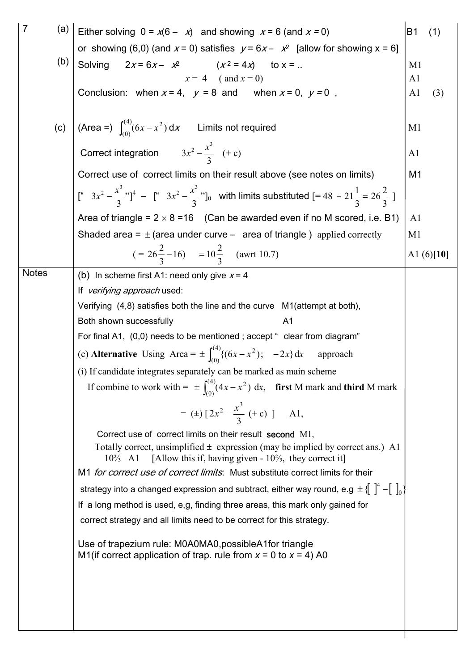| $\overline{7}$ | (a) | Either solving $0 = x(6 - x)$ and showing $x = 6$ (and $x = 0$ )<br><b>B1</b>                                                                                                                                                                                          |                |              |  |  |  |  |  |
|----------------|-----|------------------------------------------------------------------------------------------------------------------------------------------------------------------------------------------------------------------------------------------------------------------------|----------------|--------------|--|--|--|--|--|
|                |     | or showing (6,0) (and $x = 0$ ) satisfies $y = 6x - x^2$ [allow for showing $x = 6$ ]                                                                                                                                                                                  |                |              |  |  |  |  |  |
|                | (b) | Solving $2x = 6x - x^2$ $(x^2 = 4x)$ to $x = $<br>M <sub>1</sub>                                                                                                                                                                                                       |                |              |  |  |  |  |  |
|                |     | $x = 4$ (and $x = 0$ )                                                                                                                                                                                                                                                 | A <sub>1</sub> |              |  |  |  |  |  |
|                |     | Conclusion: when $x = 4$ , $y = 8$ and when $x = 0$ , $y = 0$ ,                                                                                                                                                                                                        |                |              |  |  |  |  |  |
|                |     |                                                                                                                                                                                                                                                                        |                |              |  |  |  |  |  |
|                |     | (c) $\left  \right.$ (Area =) $\int_{(0)}^{(4)} (6x - x^2) dx$ Limits not required                                                                                                                                                                                     | M <sub>1</sub> |              |  |  |  |  |  |
|                |     | Correct integration $3x^2 - \frac{x^3}{3}$ (+ c)                                                                                                                                                                                                                       | A <sub>1</sub> |              |  |  |  |  |  |
|                |     | Correct use of correct limits on their result above (see notes on limits)                                                                                                                                                                                              | M1             |              |  |  |  |  |  |
|                |     | $\left[\begin{array}{ccc} 1 & 3x^2 - \frac{x^3}{3} \\ 2 & 1 \end{array}\right]^4$ – $\left[\begin{array}{ccc} 1 & 3x^2 - \frac{x^3}{3} \\ 3 & 1 \end{array}\right]$ with limits substituted $\left[\begin{array}{ccc} 48 & -21\frac{1}{3} \\ 2 & 1 \end{array}\right]$ |                |              |  |  |  |  |  |
|                |     | Area of triangle = $2 \times 8 = 16$ (Can be awarded even if no M scored, i.e. B1)                                                                                                                                                                                     | A <sub>1</sub> |              |  |  |  |  |  |
|                |     | Shaded area = $\pm$ (area under curve – area of triangle ) applied correctly                                                                                                                                                                                           | M <sub>1</sub> |              |  |  |  |  |  |
|                |     | $(= 26\frac{2}{3} - 16) = 10\frac{2}{3}$ (awrt 10.7)                                                                                                                                                                                                                   |                | A1 $(6)[10]$ |  |  |  |  |  |
| <b>Notes</b>   |     | (b) In scheme first A1: need only give $x = 4$                                                                                                                                                                                                                         |                |              |  |  |  |  |  |
|                |     | If verifying approach used:                                                                                                                                                                                                                                            |                |              |  |  |  |  |  |
|                |     | Verifying (4,8) satisfies both the line and the curve M1(attempt at both),                                                                                                                                                                                             |                |              |  |  |  |  |  |
|                |     | A <sub>1</sub><br>Both shown successfully                                                                                                                                                                                                                              |                |              |  |  |  |  |  |
|                |     | For final A1, (0,0) needs to be mentioned; accept " clear from diagram"                                                                                                                                                                                                |                |              |  |  |  |  |  |
|                |     | (c) <b>Alternative</b> Using Area = $\pm \int_{0}^{(4)} \{ (6x - x^2) ; -2x \} dx$<br>approach                                                                                                                                                                         |                |              |  |  |  |  |  |
|                |     | (i) If candidate integrates separately can be marked as main scheme                                                                                                                                                                                                    |                |              |  |  |  |  |  |
|                |     | If combine to work with = $\pm \int_{(0)}^{(4)} (4x - x^2) dx$ , first M mark and third M mark                                                                                                                                                                         |                |              |  |  |  |  |  |
|                |     | = (±) $[2x^2 - \frac{x^3}{3} + c]$ 1,                                                                                                                                                                                                                                  |                |              |  |  |  |  |  |
|                |     | Correct use of correct limits on their result second M1,                                                                                                                                                                                                               |                |              |  |  |  |  |  |
|                |     | Totally correct, unsimplified $\pm$ expression (may be implied by correct ans.) A1<br>[Allow this if, having given $-10\frac{2}{3}$ , they correct it]<br>$10\frac{2}{3}$ A1                                                                                           |                |              |  |  |  |  |  |
|                |     | M1 for correct use of correct limits: Must substitute correct limits for their                                                                                                                                                                                         |                |              |  |  |  |  |  |
|                |     | strategy into a changed expression and subtract, either way round, e.g $\pm \{ \}^4 - [\ \ ]_0$                                                                                                                                                                        |                |              |  |  |  |  |  |
|                |     | If a long method is used, e,g, finding three areas, this mark only gained for                                                                                                                                                                                          |                |              |  |  |  |  |  |
|                |     | correct strategy and all limits need to be correct for this strategy.                                                                                                                                                                                                  |                |              |  |  |  |  |  |
|                |     | Use of trapezium rule: M0A0MA0, possible A1 for triangle<br>M1(if correct application of trap. rule from $x = 0$ to $x = 4$ ) A0                                                                                                                                       |                |              |  |  |  |  |  |
|                |     |                                                                                                                                                                                                                                                                        |                |              |  |  |  |  |  |
|                |     |                                                                                                                                                                                                                                                                        |                |              |  |  |  |  |  |
|                |     |                                                                                                                                                                                                                                                                        |                |              |  |  |  |  |  |
|                |     |                                                                                                                                                                                                                                                                        |                |              |  |  |  |  |  |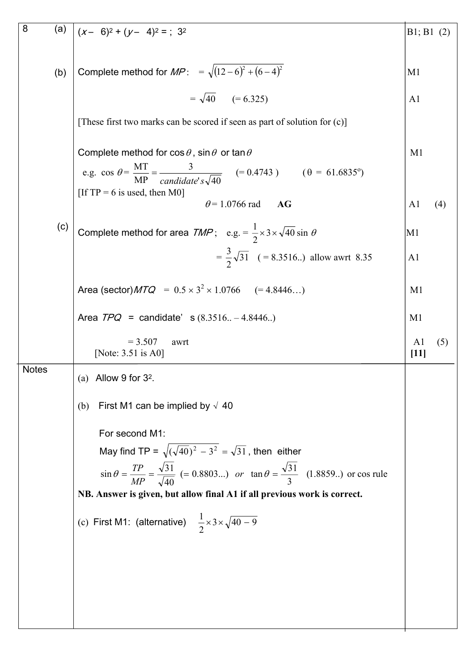| 8            | (a) | $(x-6)^2 + (y-4)^2 =$ ; 3 <sup>2</sup>                                                                                                                                                                               | B1; B1 (2)               |     |  |  |  |
|--------------|-----|----------------------------------------------------------------------------------------------------------------------------------------------------------------------------------------------------------------------|--------------------------|-----|--|--|--|
|              | (b) | Complete method for $MP: = \sqrt{(12-6)^2 + (6-4)^2}$                                                                                                                                                                | M <sub>1</sub>           |     |  |  |  |
|              |     | $= \sqrt{40}$ $(= 6.325)$                                                                                                                                                                                            | A <sub>1</sub>           |     |  |  |  |
|              |     | [These first two marks can be scored if seen as part of solution for (c)]                                                                                                                                            |                          |     |  |  |  |
|              |     | Complete method for $\cos \theta$ , $\sin \theta$ or $\tan \theta$<br>e.g. $\cos \theta = \frac{MT}{MP} = \frac{3}{candidate's \sqrt{40}}$ (= 0.4743) ( $\theta = 61.6835^{\circ}$ )<br>[If TP = 6 is used, then M0] | M <sub>1</sub>           |     |  |  |  |
|              |     | $\theta$ = 1.0766 rad<br>AG                                                                                                                                                                                          | A1                       | (4) |  |  |  |
|              | (c) | Complete method for area $TMP$ ; e.g. = $\frac{1}{2} \times 3 \times \sqrt{40} \sin \theta$                                                                                                                          | M1                       |     |  |  |  |
|              |     | $=\frac{3}{2}\sqrt{31}$ (= 8.3516) allow awrt 8.35                                                                                                                                                                   | A <sub>1</sub>           |     |  |  |  |
|              |     | Area (sector) $MTQ = 0.5 \times 3^2 \times 1.0766$ (= 4.8446)                                                                                                                                                        | M <sub>1</sub>           |     |  |  |  |
|              |     | Area $TPQ =$ candidate' s $(8.3516 - 4.8446)$                                                                                                                                                                        | M <sub>1</sub>           |     |  |  |  |
|              |     | $= 3.507$<br>awrt<br>[Note: $3.51$ is A0]                                                                                                                                                                            | A <sub>1</sub><br>$[11]$ | (5) |  |  |  |
| <b>Notes</b> |     | (a) Allow 9 for $3^2$ .                                                                                                                                                                                              |                          |     |  |  |  |
|              |     | First M1 can be implied by $\sqrt{40}$<br>(b)                                                                                                                                                                        |                          |     |  |  |  |
|              |     | For second M1:                                                                                                                                                                                                       |                          |     |  |  |  |
|              |     | May find TP = $\sqrt{(\sqrt{40})^2 - 3^2} = \sqrt{31}$ , then either                                                                                                                                                 |                          |     |  |  |  |
|              |     | $\sin \theta = \frac{TP}{MP} = \frac{\sqrt{31}}{\sqrt{40}}$ (= 0.8803) or $\tan \theta = \frac{\sqrt{31}}{3}$ (1.8859) or cos rule<br>NB. Answer is given, but allow final A1 if all previous work is correct.       |                          |     |  |  |  |
|              |     |                                                                                                                                                                                                                      |                          |     |  |  |  |
|              |     | (c) First M1: (alternative) $\frac{1}{2} \times 3 \times \sqrt{40-9}$                                                                                                                                                |                          |     |  |  |  |
|              |     |                                                                                                                                                                                                                      |                          |     |  |  |  |
|              |     |                                                                                                                                                                                                                      |                          |     |  |  |  |
|              |     |                                                                                                                                                                                                                      |                          |     |  |  |  |
|              |     |                                                                                                                                                                                                                      |                          |     |  |  |  |
|              |     |                                                                                                                                                                                                                      |                          |     |  |  |  |